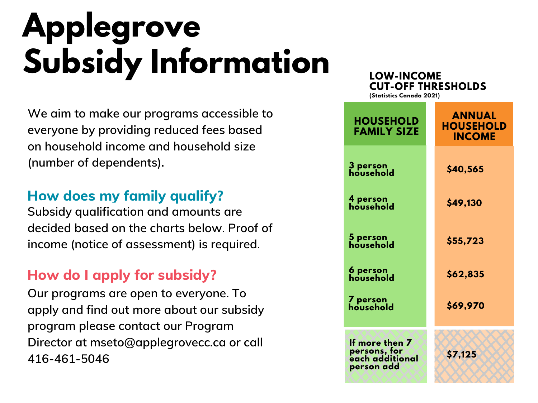# **Applegrove Subsidy Information**

**We aim to make our programs accessible to everyone by providing reduced fees based on household income and household size (number of dependents).**

### **How does my family qualify?**

**Subsidy qualification and amounts are decided based on the charts below. Proof of income (notice of assessment) is required.**

### **How do I apply for subsidy?**

**Our programs are open to everyone. To apply and find out more about our subsidy program please contact our Program Director at [mseto@applegrovecc.ca](mailto:mseto@applegrovecc.ca) or call 416-461-5046**

#### **LOW-INCOME CUT-OFF THRESHOLDS**

**(Statistics Canada 2021)**

| <b>HOUSEHOLD</b><br><b>FAMILY SIZE</b>                          | <b>ANNUAL</b><br><b>HOUSEHOLD</b><br><b>INCOME</b> |
|-----------------------------------------------------------------|----------------------------------------------------|
| 3 person<br>household                                           | \$40,565                                           |
| 4 person<br>household                                           | \$49,130                                           |
| 5 person<br>household                                           | \$55,723                                           |
| 6 person<br>household                                           | \$62,835                                           |
| 7 person<br>household                                           | \$69,970                                           |
| If more then 7<br>persons, for<br>each additional<br>person add | \$7,125                                            |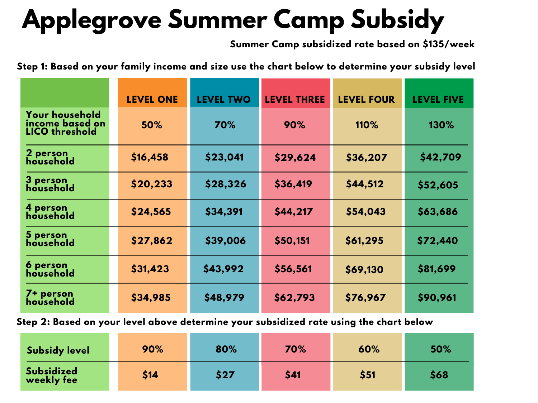## **Applegrove Summer Camp Subsidy**

**Summer Camp subsidized rate based on \$135/week**

**Step 1: Based on your family income and size use the chart below to determine your subsidy level**

|                                                                   | <b>LEVEL ONE</b> | <b>LEVEL TWO</b> | <b>LEVEL THREE</b> | <b>LEVEL FOUR</b> | <b>LEVEL FIVE</b> |
|-------------------------------------------------------------------|------------------|------------------|--------------------|-------------------|-------------------|
| <b>Your household</b><br>income based on<br><b>LICO threshold</b> | 50%              | 70%              | 90%                | 110%              | 130%              |
| 2 person<br>household                                             | \$16,458         | \$23,041         | \$29,624           | \$36,207          | \$42,709          |
| 3 person<br>household                                             | \$20,233         | \$28,326         | \$36,419           | \$44,512          | \$52,605          |
| 4 person<br>household                                             | \$24,565         | \$34,391         | \$44,217           | \$54,043          | \$63,686          |
| 5 person<br>household                                             | \$27,862         | \$39,006         | \$50,151           | \$61,295          | \$72,440          |
| 6 person<br>household                                             | \$31,423         | \$43,992         | \$56,561           | \$69,130          | \$81,699          |
| 7+ person<br>household                                            | \$34,985         | \$48,979         | \$62,793           | \$76,967          | \$90,961          |

**Step 2: Based on your level above determine your subsidized rate using the chart below**

| <b>Subsidy level</b>            | 90%  | 80%  | 70%  | 60%  | 50%  |
|---------------------------------|------|------|------|------|------|
| <b>Subsidized</b><br>weekly fee | \$14 | \$27 | \$41 | \$51 | \$68 |